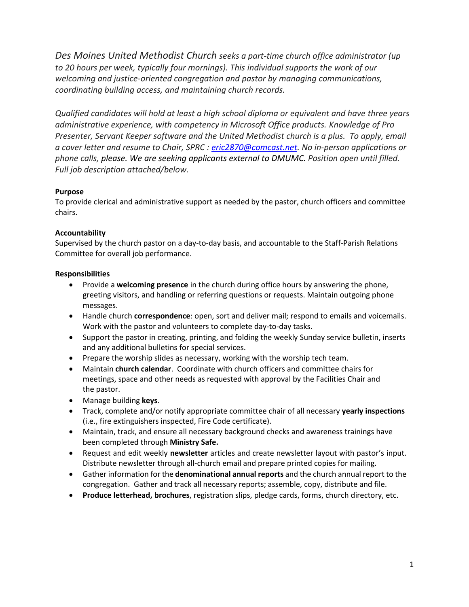*Des Moines United Methodist Church seeks a part-time church office administrator (up to 20 hours per week, typically four mornings). This individual supports the work of our welcoming and justice-oriented congregation and pastor by managing communications, coordinating building access, and maintaining church records.*

*Qualified candidates will hold at least a high school diploma or equivalent and have three years administrative experience, with competency in Microsoft Office products. Knowledge of Pro Presenter, Servant Keeper software and the United Methodist church is a plus. To apply, email a cover letter and resume to Chair, SPRC : [eric2870@comcast.net.](mailto:eric2870@comcast.net) No in-person applications or phone calls, please. We are seeking applicants external to DMUMC. Position open until filled. Full job description attached/below.*

# **Purpose**

To provide clerical and administrative support as needed by the pastor, church officers and committee chairs.

## **Accountability**

Supervised by the church pastor on a day-to-day basis, and accountable to the Staff-Parish Relations Committee for overall job performance.

## **Responsibilities**

- Provide a **welcoming presence** in the church during office hours by answering the phone, greeting visitors, and handling or referring questions or requests. Maintain outgoing phone messages.
- Handle church **correspondence**: open, sort and deliver mail; respond to emails and voicemails. Work with the pastor and volunteers to complete day-to-day tasks.
- Support the pastor in creating, printing, and folding the weekly Sunday service bulletin, inserts and any additional bulletins for special services.
- Prepare the worship slides as necessary, working with the worship tech team.
- Maintain **church calendar**. Coordinate with church officers and committee chairs for meetings, space and other needs as requested with approval by the Facilities Chair and the pastor.
- Manage building **keys**.
- Track, complete and/or notify appropriate committee chair of all necessary **yearly inspections** (i.e., fire extinguishers inspected, Fire Code certificate).
- Maintain, track, and ensure all necessary background checks and awareness trainings have been completed through **Ministry Safe.**
- Request and edit weekly **newsletter** articles and create newsletter layout with pastor's input. Distribute newsletter through all-church email and prepare printed copies for mailing.
- Gather information for the **denominational annual reports** and the church annual report to the congregation. Gather and track all necessary reports; assemble, copy, distribute and file.
- **Produce letterhead, brochures**, registration slips, pledge cards, forms, church directory, etc.